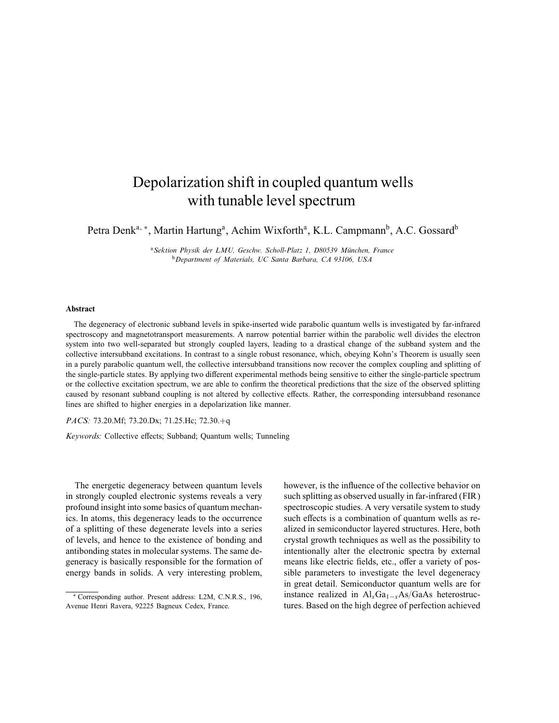# Depolarization shift in coupled quantum wells with tunable level spectrum

Petra Denk<sup>a, \*</sup>, Martin Hartung<sup>a</sup>, Achim Wixforth<sup>a</sup>, K.L. Campmann<sup>b</sup>, A.C. Gossard<sup>b</sup>

<sup>a</sup>Sektion Physik der LMU, Geschw. Scholl-Platz 1, D80539 München, France <sup>b</sup>Department of Materials, UC Santa Barbara, CA 93106, USA

## Abstract

The degeneracy of electronic subband levels in spike-inserted wide parabolic quantum wells is investigated by far-infrared spectroscopy and magnetotransport measurements. A narrow potential barrier within the parabolic well divides the electron system into two well-separated but strongly coupled layers, leading to a drastical change of the subband system and the collective intersubband excitations. In contrast to a single robust resonance, which, obeying Kohn's Theorem is usually seen in a purely parabolic quantum well, the collective intersubband transitions now recover the complex coupling and splitting of the single-particle states. By applying two different experimental methods being sensitive to either the single-particle spectrum or the collective excitation spectrum, we are able to confirm the theoretical predictions that the size of the observed splitting caused by resonant subband coupling is not altered by collective effects. Rather, the corresponding intersubband resonance lines are shifted to higher energies in a depolarization like manner.

#### PACS: 73.20.Mf; 73.20.Dx; 71.25.Hc; 72.30.+q

Keywords: Collective effects; Subband; Quantum wells; Tunneling

The energetic degeneracy between quantum levels in strongly coupled electronic systems reveals a very profound insight into some basics of quantum mechanics. In atoms, this degeneracy leads to the occurrence of a splitting of these degenerate levels into a series of levels, and hence to the existence of bonding and antibonding states in molecular systems. The same degeneracy is basically responsible for the formation of energy bands in solids. A very interesting problem,

however, is the influence of the collective behavior on such splitting as observed usually in far-infrared (FIR) spectroscopic studies. A very versatile system to study such effects is a combination of quantum wells as realized in semiconductor layered structures. Here, both crystal growth techniques as well as the possibility to intentionally alter the electronic spectra by external means like electric fields, etc., offer a variety of possible parameters to investigate the level degeneracy in great detail. Semiconductor quantum wells are for instance realized in  $Al_xGa_{1-x}As/GaAs$  heterostructures. Based on the high degree of perfection achieved

<sup>∗</sup> Corresponding author. Present address: L2M, C.N.R.S., 196, Avenue Henri Ravera, 92225 Bagneux Cedex, France.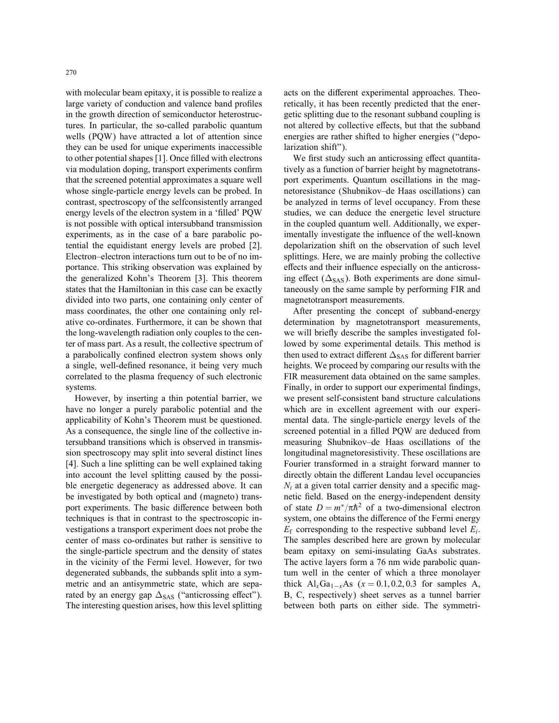with molecular beam epitaxy, it is possible to realize a large variety of conduction and valence band profiles in the growth direction of semiconductor heterostructures. In particular, the so-called parabolic quantum wells (PQW) have attracted a lot of attention since they can be used for unique experiments inaccessible to other potential shapes [1]. Once filled with electrons via modulation doping, transport experiments confirm that the screened potential approximates a square well whose single-particle energy levels can be probed. In contrast, spectroscopy of the selfconsistently arranged energy levels of the electron system in a 'filled' POW is not possible with optical intersubband transmission experiments, as in the case of a bare parabolic potential the equidistant energy levels are probed [2]. Electron–electron interactions turn out to be of no importance. This striking observation was explained by the generalized Kohn's Theorem [3]. This theorem states that the Hamiltonian in this case can be exactly divided into two parts, one containing only center of mass coordinates, the other one containing only relative co-ordinates. Furthermore, it can be shown that the long-wavelength radiation only couples to the center of mass part. As a result, the collective spectrum of a parabolically confined electron system shows only a single, well-defined resonance, it being very much correlated to the plasma frequency of such electronic systems.

However, by inserting a thin potential barrier, we have no longer a purely parabolic potential and the applicability of Kohn's Theorem must be questioned. As a consequence, the single line of the collective intersubband transitions which is observed in transmission spectroscopy may split into several distinct lines [4]. Such a line splitting can be well explained taking into account the level splitting caused by the possible energetic degeneracy as addressed above. It can be investigated by both optical and (magneto) transport experiments. The basic difference between both techniques is that in contrast to the spectroscopic investigations a transport experiment does not probe the center of mass co-ordinates but rather is sensitive to the single-particle spectrum and the density of states in the vicinity of the Fermi level. However, for two degenerated subbands, the subbands split into a symmetric and an antisymmetric state, which are separated by an energy gap  $\Delta_{SAS}$  ("anticrossing effect"). The interesting question arises, how this level splitting

acts on the different experimental approaches. Theoretically, it has been recently predicted that the energetic splitting due to the resonant subband coupling is not altered by collective effects, but that the subband energies are rather shifted to higher energies ("depolarization shift").

We first study such an anticrossing effect quantitatively as a function of barrier height by magnetotransport experiments. Quantum oscillations in the magnetoresistance (Shubnikov–de Haas oscillations) can be analyzed in terms of level occupancy. From these studies, we can deduce the energetic level structure in the coupled quantum well. Additionally, we experimentally investigate the influence of the well-known depolarization shift on the observation of such level splittings. Here, we are mainly probing the collective effects and their influence especially on the anticrossing effect ( $\Delta_{SAS}$ ). Both experiments are done simultaneously on the same sample by performing FIR and magnetotransport measurements.

After presenting the concept of subband-energy determination by magnetotransport measurements, we will briefly describe the samples investigated followed by some experimental details. This method is then used to extract different  $\Delta_{\text{SAS}}$  for different barrier heights. We proceed by comparing our results with the FIR measurement data obtained on the same samples. Finally, in order to support our experimental findings, we present self-consistent band structure calculations which are in excellent agreement with our experimental data. The single-particle energy levels of the screened potential in a filled PQW are deduced from measuring Shubnikov–de Haas oscillations of the longitudinal magnetoresistivity. These oscillations are Fourier transformed in a straight forward manner to directly obtain the different Landau level occupancies  $N_i$  at a given total carrier density and a specific magnetic field. Based on the energy-independent density of state  $D = m^*/\pi \hbar^2$  of a two-dimensional electron system, one obtains the difference of the Fermi energy  $E_f$  corresponding to the respective subband level  $E_i$ . The samples described here are grown by molecular beam epitaxy on semi-insulating GaAs substrates. The active layers form a 76 nm wide parabolic quantum well in the center of which a three monolayer thick  $Al_xGa_{1-x}As$  (x = 0.1, 0.2, 0.3 for samples A, B, C, respectively) sheet serves as a tunnel barrier between both parts on either side. The symmetri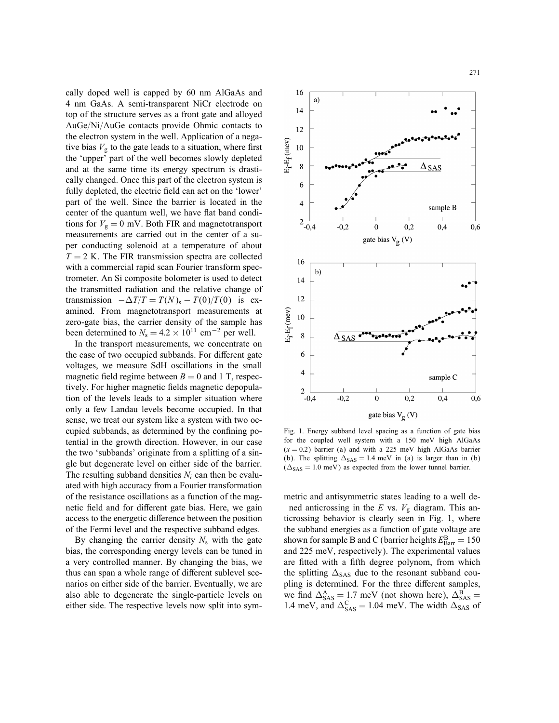cally doped well is capped by 60 nm AlGaAs and 16  $a)$ 4 nm GaAs. A semi-transparent NiCr electrode on  $14$ top of the structure serves as a front gate and alloyed AuGe/Ni/AuGe contacts provide Ohmic contacts to  $12$ the electron system in the well. Application of a nega- $E_i-E_f$ (mev) tive bias  $V_{\rm g}$  to the gate leads to a situation, where first 10 the 'upper' part of the well becomes slowly depleted 8 and at the same time its energy spectrum is drastically changed. Once this part of the electron system is 6  $\overline{4}$ 

fully depleted, the electric field can act on the 'lower' part of the well. Since the barrier is located in the center of the quantum well, we have flat band conditions for  $V_g = 0$  mV. Both FIR and magnetotransport measurements are carried out in the center of a super conducting solenoid at a temperature of about  $T = 2$  K. The FIR transmission spectra are collected with a commercial rapid scan Fourier transform spectrometer. An Si composite bolometer is used to detect the transmitted radiation and the relative change of transmission  $-\Delta T/T = T(N)_{\rm s} - T(0)/T(0)$  is examined. From magnetotransport measurements at zero-gate bias, the carrier density of the sample has been determined to  $N_s = 4.2 \times 10^{11}$  cm<sup>-2</sup> per well.

In the transport measurements, we concentrate on the case of two occupied subbands. For different gate voltages, we measure SdH oscillations in the small magnetic field regime between  $B = 0$  and 1 T, respectively. For higher magnetic fields magnetic depopulation of the levels leads to a simpler situation where only a few Landau levels become occupied. In that sense, we treat our system like a system with two occupied subbands, as determined by the confining potential in the growth direction. However, in our case the two 'subbands' originate from a splitting of a single but degenerate level on either side of the barrier. The resulting subband densities  $N_i$  can then be evaluated with high accuracy from a Fourier transformation of the resistance oscillations as a function of the magnetic field and for different gate bias. Here, we gain access to the energetic difference between the position of the Fermi level and the respective subband edges.

By changing the carrier density  $N_s$  with the gate bias, the corresponding energy levels can be tuned in a very controlled manner. By changing the bias, we thus can span a whole range of different sublevel scenarios on either side of the barrier. Eventually, we are also able to degenerate the single-particle levels on either side. The respective levels now split into sym-



Fig. 1. Energy subband level spacing as a function of gate bias for the coupled well system with a 150 meV high AlGaAs  $(x = 0.2)$  barrier (a) and with a 225 meV high AlGaAs barrier (b). The splitting  $\Delta_{SAS} = 1.4$  meV in (a) is larger than in (b)  $(\Delta_{SAS} = 1.0 \text{ meV})$  as expected from the lower tunnel barrier.

metric and antisymmetric states leading to a well dened anticrossing in the E vs.  $V<sub>g</sub>$  diagram. This anticrossing behavior is clearly seen in Fig. 1, where the subband energies as a function of gate voltage are shown for sample B and C (barrier heights  $E_{\rm Barr}^{\rm B} = 150$ and 225 meV, respectively). The experimental values are fitted with a fifth degree polynom, from which the splitting  $\Delta_{SAS}$  due to the resonant subband coupling is determined. For the three different samples, we find  $\Delta_{\text{SAS}}^{\text{A}} = 1.7 \text{ meV}$  (not shown here),  $\Delta_{\text{SAS}}^{\text{B}} =$ 1.4 meV, and  $\Delta_{SAS}^C = 1.04$  meV. The width  $\Delta_{SAS}$  of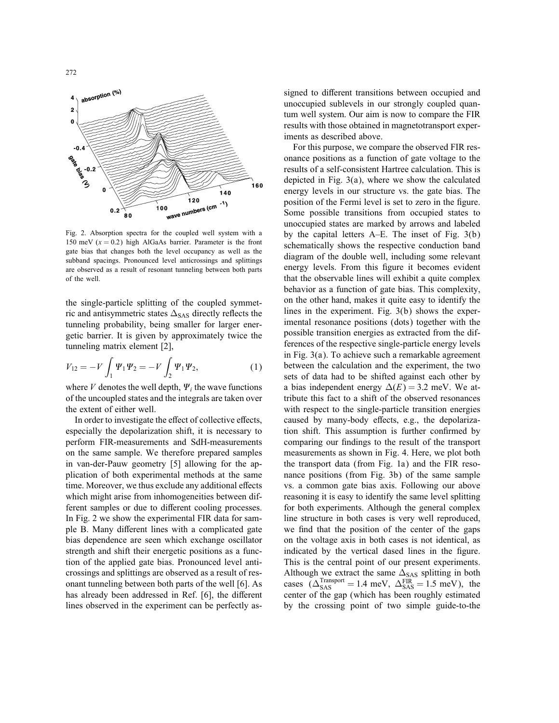

Fig. 2. Absorption spectra for the coupled well system with a 150 meV  $(x = 0.2)$  high AlGaAs barrier. Parameter is the front gate bias that changes both the level occupancy as well as the subband spacings. Pronounced level anticrossings and splittings are observed as a result of resonant tunneling between both parts of the well.

the single-particle splitting of the coupled symmetric and antisymmetric states  $\Delta_{SAS}$  directly reflects the tunneling probability, being smaller for larger energetic barrier. It is given by approximately twice the tunneling matrix element [2],

$$
V_{12} = -V \int_1 \Psi_1 \Psi_2 = -V \int_2 \Psi_1 \Psi_2, \tag{1}
$$

where V denotes the well depth,  $\Psi_i$  the wave functions of the uncoupled states and the integrals are taken over the extent of either well.

In order to investigate the effect of collective effects, especially the depolarization shift, it is necessary to perform FIR-measurements and SdH-measurements on the same sample. We therefore prepared samples in van-der-Pauw geometry [5] allowing for the application of both experimental methods at the same time. Moreover, we thus exclude any additional effects which might arise from inhomogeneities between different samples or due to different cooling processes. In Fig. 2 we show the experimental FIR data for sample B. Many different lines with a complicated gate bias dependence are seen which exchange oscillator strength and shift their energetic positions as a function of the applied gate bias. Pronounced level anticrossings and splittings are observed as a result of resonant tunneling between both parts of the well [6]. As has already been addressed in Ref. [6], the different lines observed in the experiment can be perfectly assigned to different transitions between occupied and unoccupied sublevels in our strongly coupled quantum well system. Our aim is now to compare the FIR results with those obtained in magnetotransport experiments as described above.

For this purpose, we compare the observed FIR resonance positions as a function of gate voltage to the results of a self-consistent Hartree calculation. This is depicted in Fig. 3(a), where we show the calculated energy levels in our structure vs. the gate bias. The position of the Fermi level is set to zero in the figure. Some possible transitions from occupied states to unoccupied states are marked by arrows and labeled by the capital letters A–E. The inset of Fig. 3(b) schematically shows the respective conduction band diagram of the double well, including some relevant energy levels. From this figure it becomes evident that the observable lines will exhibit a quite complex behavior as a function of gate bias. This complexity, on the other hand, makes it quite easy to identify the lines in the experiment. Fig. 3(b) shows the experimental resonance positions (dots) together with the possible transition energies as extracted from the differences of the respective single-particle energy levels in Fig. 3(a). To achieve such a remarkable agreement between the calculation and the experiment, the two sets of data had to be shifted against each other by a bias independent energy  $\Delta(E) = 3.2$  meV. We attribute this fact to a shift of the observed resonances with respect to the single-particle transition energies caused by many-body effects, e.g., the depolarization shift. This assumption is further confirmed by comparing our findings to the result of the transport measurements as shown in Fig. 4. Here, we plot both the transport data (from Fig. 1a) and the FIR resonance positions (from Fig. 3b) of the same sample vs. a common gate bias axis. Following our above reasoning it is easy to identify the same level splitting for both experiments. Although the general complex line structure in both cases is very well reproduced, we find that the position of the center of the gaps on the voltage axis in both cases is not identical, as indicated by the vertical dased lines in the figure. This is the central point of our present experiments. Although we extract the same  $\Delta_{SAS}$  splitting in both cases  $(\Delta_{SAS}^{Transport} = 1.4 \text{ meV}, \Delta_{SAS}^{FIR} = 1.5 \text{ meV})$ , the center of the gap (which has been roughly estimated by the crossing point of two simple guide-to-the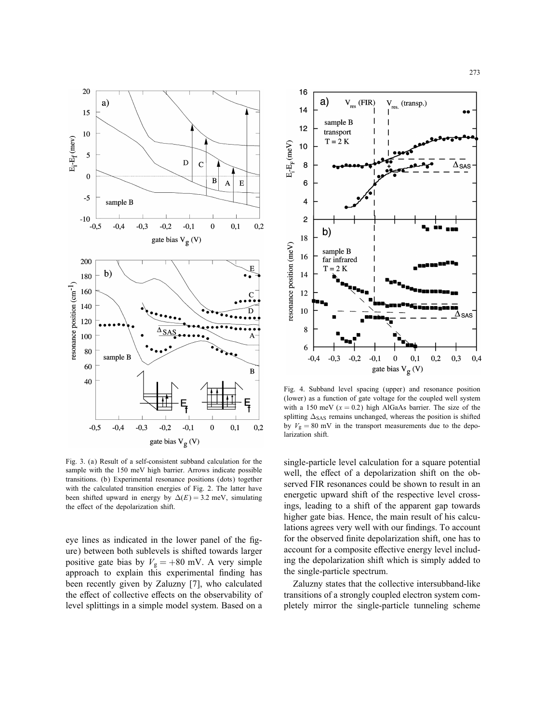

Fig. 3. (a) Result of a self-consistent subband calculation for the sample with the 150 meV high barrier. Arrows indicate possible transitions. (b) Experimental resonance positions (dots) together with the calculated transition energies of Fig. 2. The latter have been shifted upward in energy by  $\Delta(E) = 3.2$  meV, simulating the effect of the depolarization shift.

eye lines as indicated in the lower panel of the figure) between both sublevels is shifted towards larger positive gate bias by  $V_g = +80$  mV. A very simple approach to explain this experimental finding has been recently given by Zaluzny [7], who calculated the effect of collective effects on the observability of level splittings in a simple model system. Based on a



Fig. 4. Subband level spacing (upper) and resonance position (lower) as a function of gate voltage for the coupled well system with a 150 meV  $(x = 0.2)$  high AlGaAs barrier. The size of the splitting  $\Delta_{\text{SAS}}$  remains unchanged, whereas the position is shifted by  $V_g = 80$  mV in the transport measurements due to the depolarization shift.

single-particle level calculation for a square potential well, the effect of a depolarization shift on the observed FIR resonances could be shown to result in an energetic upward shift of the respective level crossings, leading to a shift of the apparent gap towards higher gate bias. Hence, the main result of his calculations agrees very well with our findings. To account for the observed finite depolarization shift, one has to account for a composite effective energy level including the depolarization shift which is simply added to the single-particle spectrum.

Zaluzny states that the collective intersubband-like transitions of a strongly coupled electron system completely mirror the single-particle tunneling scheme